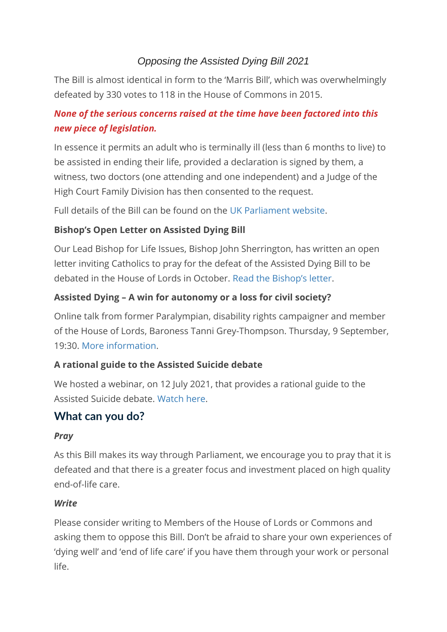## *Opposing the Assisted Dying Bill 2021*

The Bill is almost identical in form to the 'Marris Bill', which was overwhelmingly defeated by 330 votes to 118 in the House of Commons in 2015.

# *None of the serious concerns raised at the time have been factored into this new piece of legislation.*

In essence it permits an adult who is terminally ill (less than 6 months to live) to be assisted in ending their life, provided a declaration is signed by them, a witness, two doctors (one attending and one independent) and a Judge of the High Court Family Division has then consented to the request.

Full details of the Bill can be found on the [UK Parliament website.](https://bills.parliament.uk/publications/41676/documents/322)

#### **Bishop's Open Letter on Assisted Dying Bill**

Our Lead Bishop for Life Issues, Bishop John Sherrington, has written an open letter inviting Catholics to pray for the defeat of the Assisted Dying Bill to be debated in the House of Lords in October. [Read the Bishop's letter](https://www.cbcew.org.uk/bishop-sherrington-letter-on-assisted-dying-bill-2021/).

### **Assisted Dying – A win for autonomy or a loss for civil society?**

Online talk from former Paralympian, disability rights campaigner and member of the House of Lords, Baroness Tanni Grey-Thompson. Thursday, 9 September, 19:30. [More information.](https://www.cbcew.org.uk/baroness-grey-thompson-assisted-dying-a-win-for-autonomy-or-a-loss-for-civil-society/)

## **A rational guide to the Assisted Suicide debate**

We hosted a webinar, on 12 July 2021, that provides a rational guide to the Assisted Suicide debate. [Watch here.](https://www.cbcew.org.uk/a-rational-guide-to-the-assisted-suicide-debate/)

# **What can you do?**

#### *Pray*

As this Bill makes its way through Parliament, we encourage you to pray that it is defeated and that there is a greater focus and investment placed on high quality end-of-life care.

#### *Write*

Please consider writing to Members of the House of Lords or Commons and asking them to oppose this Bill. Don't be afraid to share your own experiences of 'dying well' and 'end of life care' if you have them through your work or personal life.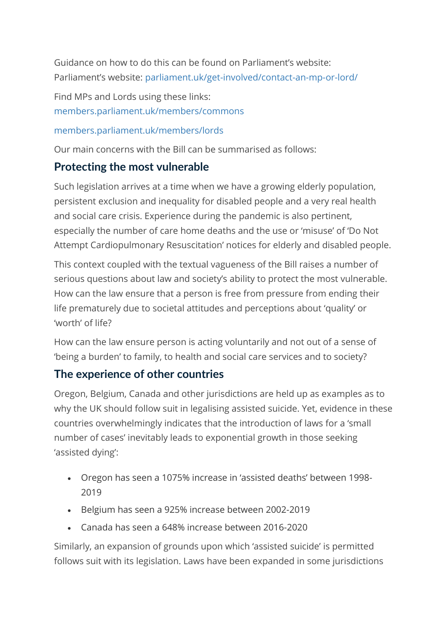Guidance on how to do this can be found on Parliament's website: Parliament's website: [parliament.uk/get-involved/contact-an-mp-or-lord/](https://www.parliament.uk/get-involved/contact-an-mp-or-lord/)

Find MPs and Lords using these links: [members.parliament.uk/members/commons](https://members.parliament.uk/members/Commons)

[members.parliament.uk/members/lords](https://members.parliament.uk/members/lords)

Our main concerns with the Bill can be summarised as follows:

## **Protecting the most vulnerable**

Such legislation arrives at a time when we have a growing elderly population, persistent exclusion and inequality for disabled people and a very real health and social care crisis. Experience during the pandemic is also pertinent, especially the number of care home deaths and the use or 'misuse' of 'Do Not Attempt Cardiopulmonary Resuscitation' notices for elderly and disabled people.

This context coupled with the textual vagueness of the Bill raises a number of serious questions about law and society's ability to protect the most vulnerable. How can the law ensure that a person is free from pressure from ending their life prematurely due to societal attitudes and perceptions about 'quality' or 'worth' of life?

How can the law ensure person is acting voluntarily and not out of a sense of 'being a burden' to family, to health and social care services and to society?

## **The experience of other countries**

Oregon, Belgium, Canada and other jurisdictions are held up as examples as to why the UK should follow suit in legalising assisted suicide. Yet, evidence in these countries overwhelmingly indicates that the introduction of laws for a 'small number of cases' inevitably leads to exponential growth in those seeking 'assisted dying':

- Oregon has seen a 1075% increase in 'assisted deaths' between 1998- 2019
- Belgium has seen a 925% increase between 2002-2019
- Canada has seen a 648% increase between 2016-2020

Similarly, an expansion of grounds upon which 'assisted suicide' is permitted follows suit with its legislation. Laws have been expanded in some jurisdictions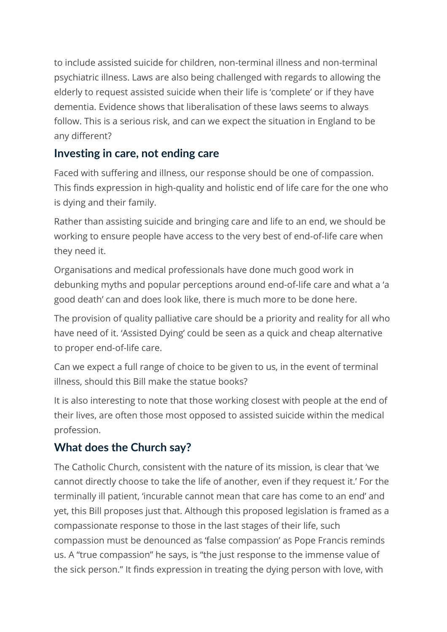to include assisted suicide for children, non-terminal illness and non-terminal psychiatric illness. Laws are also being challenged with regards to allowing the elderly to request assisted suicide when their life is 'complete' or if they have dementia. Evidence shows that liberalisation of these laws seems to always follow. This is a serious risk, and can we expect the situation in England to be any different?

# **Investing in care, not ending care**

Faced with suffering and illness, our response should be one of compassion. This finds expression in high-quality and holistic end of life care for the one who is dying and their family.

Rather than assisting suicide and bringing care and life to an end, we should be working to ensure people have access to the very best of end-of-life care when they need it.

Organisations and medical professionals have done much good work in debunking myths and popular perceptions around end-of-life care and what a 'a good death' can and does look like, there is much more to be done here.

The provision of quality palliative care should be a priority and reality for all who have need of it. 'Assisted Dying' could be seen as a quick and cheap alternative to proper end-of-life care.

Can we expect a full range of choice to be given to us, in the event of terminal illness, should this Bill make the statue books?

It is also interesting to note that those working closest with people at the end of their lives, are often those most opposed to assisted suicide within the medical profession.

# **What does the Church say?**

The Catholic Church, consistent with the nature of its mission, is clear that 'we cannot directly choose to take the life of another, even if they request it.' For the terminally ill patient, 'incurable cannot mean that care has come to an end' and yet, this Bill proposes just that. Although this proposed legislation is framed as a compassionate response to those in the last stages of their life, such compassion must be denounced as 'false compassion' as Pope Francis reminds us. A "true compassion" he says, is "the just response to the immense value of the sick person." It finds expression in treating the dying person with love, with